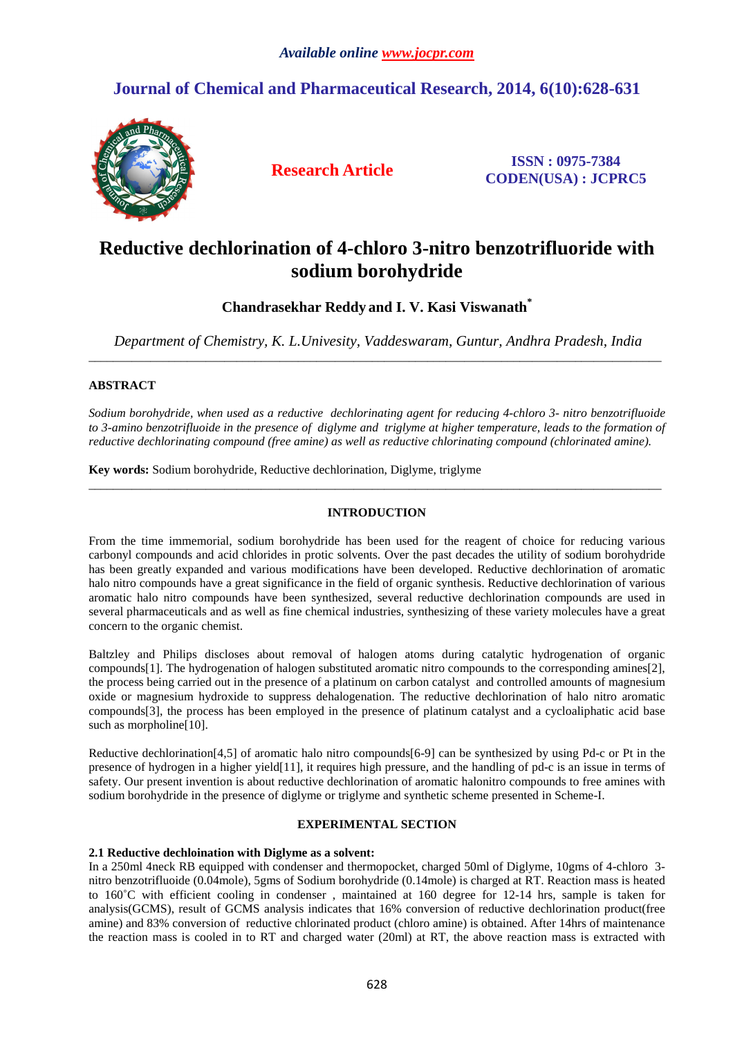# **Journal of Chemical and Pharmaceutical Research, 2014, 6(10):628-631**



**Research Article ISSN : 0975-7384 CODEN(USA) : JCPRC5**

# **Reductive dechlorination of 4-chloro 3-nitro benzotrifluoride with sodium borohydride**

**Chandrasekhar Reddy and I. V. Kasi Viswanath\*** 

*Department of Chemistry, K. L.Univesity, Vaddeswaram, Guntur, Andhra Pradesh, India*  \_\_\_\_\_\_\_\_\_\_\_\_\_\_\_\_\_\_\_\_\_\_\_\_\_\_\_\_\_\_\_\_\_\_\_\_\_\_\_\_\_\_\_\_\_\_\_\_\_\_\_\_\_\_\_\_\_\_\_\_\_\_\_\_\_\_\_\_\_\_\_\_\_\_\_\_\_\_\_\_\_\_\_\_\_\_\_\_\_\_\_\_\_

# **ABSTRACT**

*Sodium borohydride, when used as a reductive dechlorinating agent for reducing 4-chloro 3- nitro benzotrifluoide to 3-amino benzotrifluoide in the presence of diglyme and triglyme at higher temperature, leads to the formation of reductive dechlorinating compound (free amine) as well as reductive chlorinating compound (chlorinated amine).*

**Key words:** Sodium borohydride, Reductive dechlorination, Diglyme, triglyme

# **INTRODUCTION**

 $\overline{a}$  , and the contribution of the contribution of the contribution of the contribution of the contribution of the contribution of the contribution of the contribution of the contribution of the contribution of the co

From the time immemorial, sodium borohydride has been used for the reagent of choice for reducing various carbonyl compounds and acid chlorides in protic solvents. Over the past decades the utility of sodium borohydride has been greatly expanded and various modifications have been developed. Reductive dechlorination of aromatic halo nitro compounds have a great significance in the field of organic synthesis. Reductive dechlorination of various aromatic halo nitro compounds have been synthesized, several reductive dechlorination compounds are used in several pharmaceuticals and as well as fine chemical industries, synthesizing of these variety molecules have a great concern to the organic chemist.

Baltzley and Philips discloses about removal of halogen atoms during catalytic hydrogenation of organic compounds[1]. The hydrogenation of halogen substituted aromatic nitro compounds to the corresponding amines[2], the process being carried out in the presence of a platinum on carbon catalyst and controlled amounts of magnesium oxide or magnesium hydroxide to suppress dehalogenation. The reductive dechlorination of halo nitro aromatic compounds[3], the process has been employed in the presence of platinum catalyst and a cycloaliphatic acid base such as morpholine[10].

Reductive dechlorination[4,5] of aromatic halo nitro compounds[6-9] can be synthesized by using Pd-c or Pt in the presence of hydrogen in a higher yield[11], it requires high pressure, and the handling of pd-c is an issue in terms of safety. Our present invention is about reductive dechlorination of aromatic halonitro compounds to free amines with sodium borohydride in the presence of diglyme or triglyme and synthetic scheme presented in Scheme-I.

## **EXPERIMENTAL SECTION**

# **2.1 Reductive dechloination with Diglyme as a solvent:**

In a 250ml 4neck RB equipped with condenser and thermopocket, charged 50ml of Diglyme, 10gms of 4-chloro 3 nitro benzotrifluoide (0.04mole), 5gms of Sodium borohydride (0.14mole) is charged at RT. Reaction mass is heated to 160˚C with efficient cooling in condenser , maintained at 160 degree for 12-14 hrs, sample is taken for analysis(GCMS), result of GCMS analysis indicates that 16% conversion of reductive dechlorination product(free amine) and 83% conversion of reductive chlorinated product (chloro amine) is obtained. After 14hrs of maintenance the reaction mass is cooled in to RT and charged water (20ml) at RT, the above reaction mass is extracted with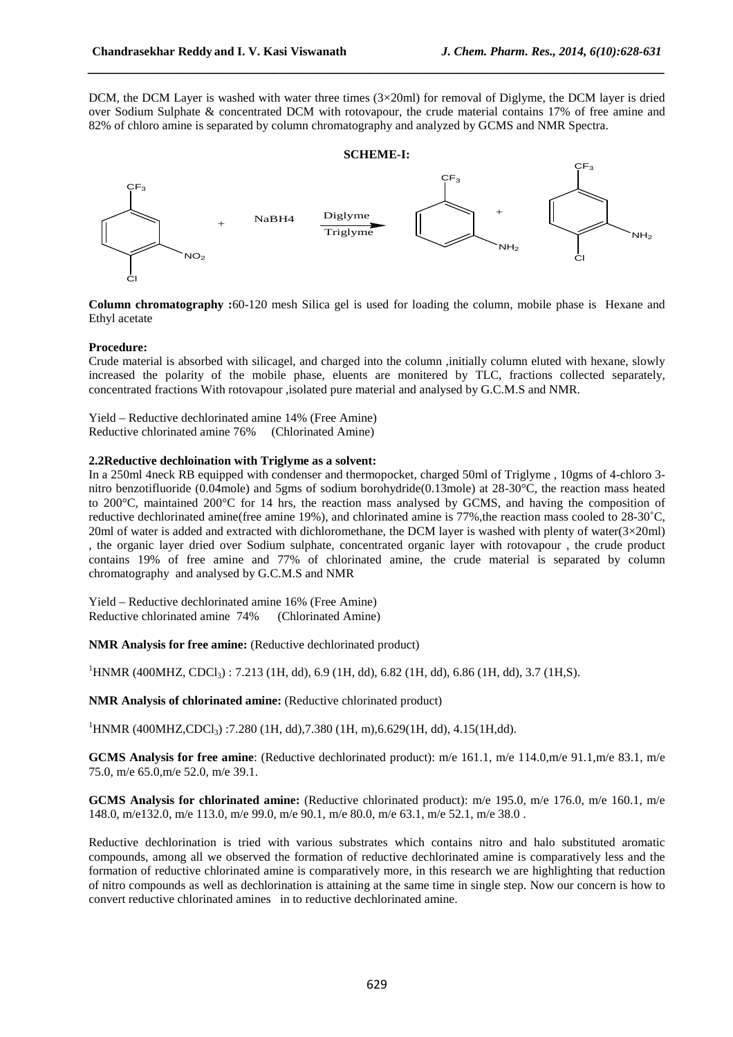DCM, the DCM Layer is washed with water three times  $(3\times20\text{ml})$  for removal of Diglyme, the DCM layer is dried over Sodium Sulphate & concentrated DCM with rotovapour, the crude material contains 17% of free amine and 82% of chloro amine is separated by column chromatography and analyzed by GCMS and NMR Spectra.

*\_\_\_\_\_\_\_\_\_\_\_\_\_\_\_\_\_\_\_\_\_\_\_\_\_\_\_\_\_\_\_\_\_\_\_\_\_\_\_\_\_\_\_\_\_\_\_\_\_\_\_\_\_\_\_\_\_\_\_\_\_\_\_\_\_\_\_\_\_\_\_\_\_\_\_\_\_\_*

#### **SCHEME-I:**   $CF<sub>3</sub>$ Cl NO<sup>2</sup> + NaBH4  $CF_{3}$  $NH<sub>2</sub>$ +  $F_3$ Cl  $NH<sub>2</sub>$ Diglyme Triglyme

**Column chromatography :**60-120 mesh Silica gel is used for loading the column, mobile phase is Hexane and Ethyl acetate

### **Procedure:**

Crude material is absorbed with silicagel, and charged into the column ,initially column eluted with hexane, slowly increased the polarity of the mobile phase, eluents are monitered by TLC, fractions collected separately, concentrated fractions With rotovapour ,isolated pure material and analysed by G.C.M.S and NMR.

Yield – Reductive dechlorinated amine 14% (Free Amine) Reductive chlorinated amine 76% (Chlorinated Amine)

#### **2.2Reductive dechloination with Triglyme as a solvent:**

In a 250ml 4neck RB equipped with condenser and thermopocket, charged 50ml of Triglyme , 10gms of 4-chloro 3 nitro benzotifluoride (0.04mole) and 5gms of sodium borohydride(0.13mole) at 28-30°C, the reaction mass heated to 200°C, maintained 200°C for 14 hrs, the reaction mass analysed by GCMS, and having the composition of reductive dechlorinated amine(free amine 19%), and chlorinated amine is 77%,the reaction mass cooled to 28-30˚C, 20ml of water is added and extracted with dichloromethane, the DCM layer is washed with plenty of water(3×20ml) , the organic layer dried over Sodium sulphate, concentrated organic layer with rotovapour , the crude product contains 19% of free amine and 77% of chlorinated amine, the crude material is separated by column chromatography and analysed by G.C.M.S and NMR

Yield – Reductive dechlorinated amine 16% (Free Amine) Reductive chlorinated amine 74% (Chlorinated Amine)

**NMR Analysis for free amine:** (Reductive dechlorinated product)

 $1$ HNMR (400MHZ, CDCl<sub>3</sub>) : 7.213 (1H, dd), 6.9 (1H, dd), 6.82 (1H, dd), 6.86 (1H, dd), 3.7 (1H, S).

**NMR Analysis of chlorinated amine:** (Reductive chlorinated product)

<sup>1</sup>HNMR (400MHZ,CDCl<sub>3</sub>) :7.280 (1H, dd),7.380 (1H, m),6.629(1H, dd), 4.15(1H,dd).

**GCMS Analysis for free amine**: (Reductive dechlorinated product): m/e 161.1, m/e 114.0,m/e 91.1,m/e 83.1, m/e 75.0, m/e 65.0,m/e 52.0, m/e 39.1.

**GCMS Analysis for chlorinated amine:** (Reductive chlorinated product): m/e 195.0, m/e 176.0, m/e 160.1, m/e 148.0, m/e132.0, m/e 113.0, m/e 99.0, m/e 90.1, m/e 80.0, m/e 63.1, m/e 52.1, m/e 38.0 .

Reductive dechlorination is tried with various substrates which contains nitro and halo substituted aromatic compounds, among all we observed the formation of reductive dechlorinated amine is comparatively less and the formation of reductive chlorinated amine is comparatively more, in this research we are highlighting that reduction of nitro compounds as well as dechlorination is attaining at the same time in single step. Now our concern is how to convert reductive chlorinated amines in to reductive dechlorinated amine.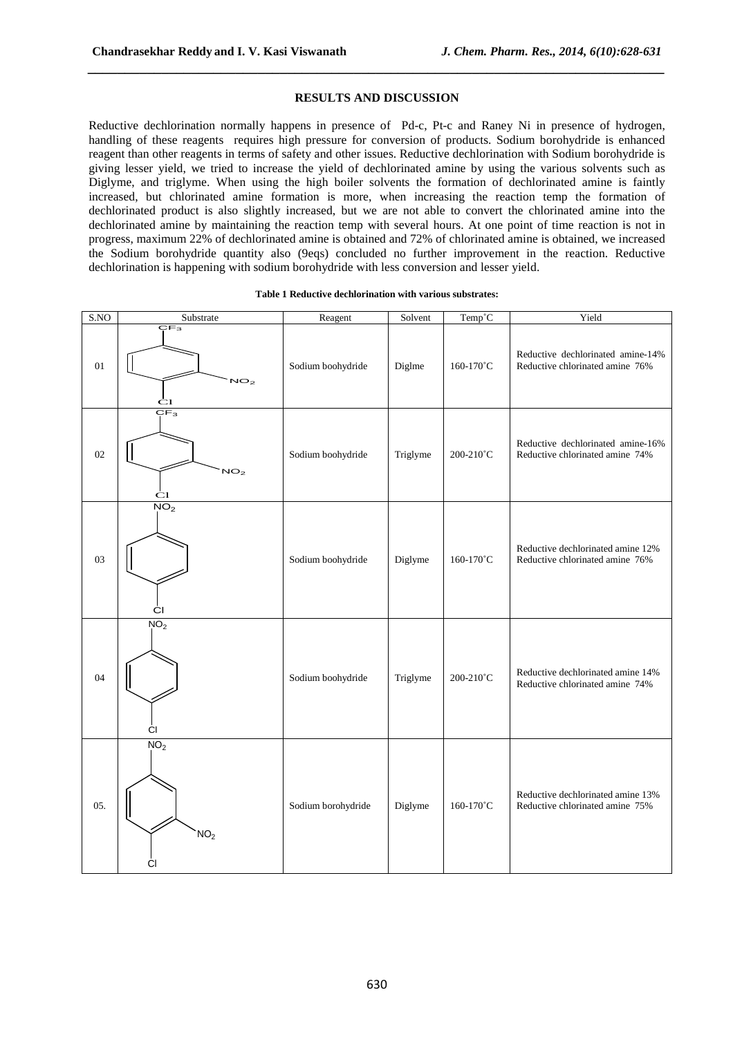#### **RESULTS AND DISCUSSION**

*\_\_\_\_\_\_\_\_\_\_\_\_\_\_\_\_\_\_\_\_\_\_\_\_\_\_\_\_\_\_\_\_\_\_\_\_\_\_\_\_\_\_\_\_\_\_\_\_\_\_\_\_\_\_\_\_\_\_\_\_\_\_\_\_\_\_\_\_\_\_\_\_\_\_\_\_\_\_*

Reductive dechlorination normally happens in presence of Pd-c, Pt-c and Raney Ni in presence of hydrogen, handling of these reagents requires high pressure for conversion of products. Sodium borohydride is enhanced reagent than other reagents in terms of safety and other issues. Reductive dechlorination with Sodium borohydride is giving lesser yield, we tried to increase the yield of dechlorinated amine by using the various solvents such as Diglyme, and triglyme. When using the high boiler solvents the formation of dechlorinated amine is faintly increased, but chlorinated amine formation is more, when increasing the reaction temp the formation of dechlorinated product is also slightly increased, but we are not able to convert the chlorinated amine into the dechlorinated amine by maintaining the reaction temp with several hours. At one point of time reaction is not in progress, maximum 22% of dechlorinated amine is obtained and 72% of chlorinated amine is obtained, we increased the Sodium borohydride quantity also (9eqs) concluded no further improvement in the reaction. Reductive dechlorination is happening with sodium borohydride with less conversion and lesser yield.

#### **Table 1 Reductive dechlorination with various substrates:**

| SNO | Substrate                                                                             | Reagent            | Solvent  | Temp <sup>°</sup> C | Yield                                                                |
|-----|---------------------------------------------------------------------------------------|--------------------|----------|---------------------|----------------------------------------------------------------------|
| 01  | $\overline{\mathsf{C}\mathsf{F}_3}$<br>NO <sub>2</sub><br>$rac{\dot{C}1}{\dot{C}F_3}$ | Sodium boohydride  | Diglme   | 160-170°C           | Reductive dechlorinated amine-14%<br>Reductive chlorinated amine 76% |
| 02  | NO <sub>2</sub><br>$\mathbf{C}1$                                                      | Sodium boohydride  | Triglyme | 200-210°C           | Reductive dechlorinated amine-16%<br>Reductive chlorinated amine 74% |
| 03  | $\overline{NO_2}$<br>СI                                                               | Sodium boohydride  | Diglyme  | 160-170°C           | Reductive dechlorinated amine 12%<br>Reductive chlorinated amine 76% |
| 04  | NO <sub>2</sub><br>СI                                                                 | Sodium boohydride  | Triglyme | 200-210°C           | Reductive dechlorinated amine 14%<br>Reductive chlorinated amine 74% |
| 05. | NO <sub>2</sub><br>NO <sub>2</sub><br>СI                                              | Sodium borohydride | Diglyme  | 160-170°C           | Reductive dechlorinated amine 13%<br>Reductive chlorinated amine 75% |